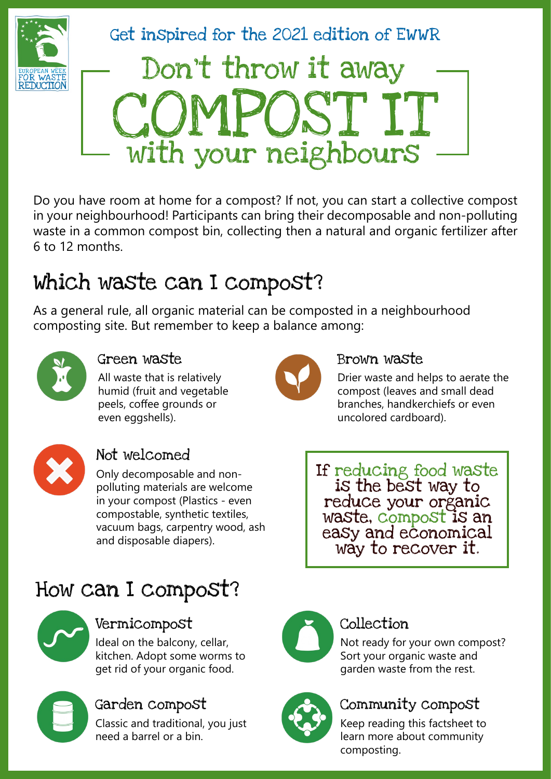

Get inspired for the 2021 edition of EWWR Don't throw it away OST IT with your neighbours

Do you have room at home for a compost? If not, you can start a collective compost in your neighbourhood! Participants can bring their decomposable and non-polluting waste in a common compost bin, collecting then a natural and organic fertilizer after 6 to 12 months.

# Which waste can I compost?

As a general rule, all organic material can be composted in a neighbourhood composting site. But remember to keep a balance among:



### Green waste

All waste that is relatively humid (fruit and vegetable peels, coffee grounds or even eggshells).



### Not welcomed

Only decomposable and nonpolluting materials are welcome in your compost (Plastics - even compostable, synthetic textiles, vacuum bags, carpentry wood, ash and disposable diapers).



### Brown waste

Drier waste and helps to aerate the compost (leaves and small dead branches, handkerchiefs or even uncolored cardboard).

If reducing food waste is the best way to reduce your organic waste, compost is an easy and economical way to recover it.

# How can I compost?



### Vermicompost Collection

Ideal on the balcony, cellar, kitchen. Adopt some worms to get rid of your organic food.



Classic and traditional, you just need a barrel or a bin.



Not ready for your own compost? Sort your organic waste and garden waste from the rest.



## Garden compost Community compost

Keep reading this factsheet to learn more about community composting.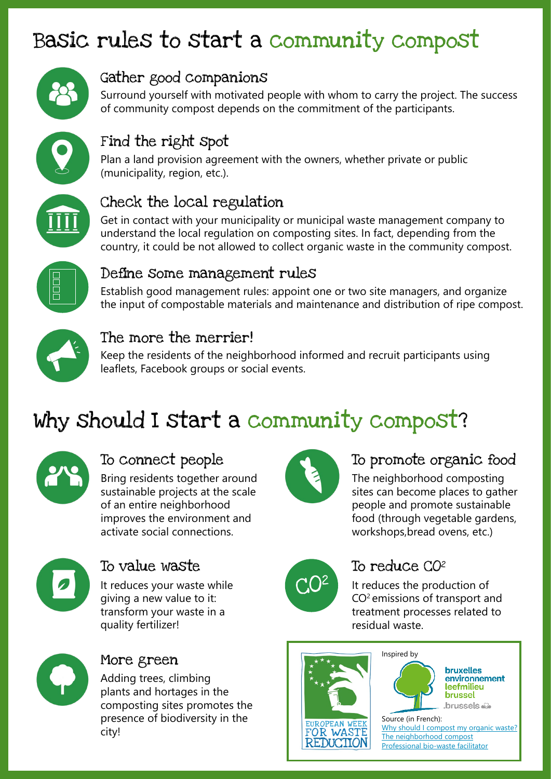# Basic rules to start a community compost



### Gather good companions

Surround yourself with motivated people with whom to carry the project. The success of community compost depends on the commitment of the participants.



## Find the right spot

Plan a land provision agreement with the owners, whether private or public (municipality, region, etc.).



### Check the local regulation

Get in contact with your municipality or municipal waste management company to understand the local regulation on composting sites. In fact, depending from the country, it could be not allowed to collect organic waste in the community compost.



### Define some management rules

Establish good management rules: appoint one or two site managers, and organize the input of compostable materials and maintenance and distribution of ripe compost.



### The more the merrier!

Keep the residents of the neighborhood informed and recruit participants using leaflets, Facebook groups or social events.

# Why should I start a community compost?



### To connect people

Bring residents together around sustainable projects at the scale of an entire neighborhood improves the environment and activate social connections.



### To value waste

It reduces your waste while giving a new value to it: transform your waste in a quality fertilizer!



### More green

Adding trees, climbing plants and hortages in the composting sites promotes the presence of biodiversity in the city!



## To promote organic food

The neighborhood composting sites can become places to gather people and promote sustainable food (through vegetable gardens, workshops,bread ovens, etc.)



### To reduce CO<sub>2</sub>

It reduces the production of CO2 emissions of transport and treatment processes related to residual waste.







Source (in French): [Why should I compost my organic waste?](https://environnement.brussels/thematiques/zero-dechet/conseils/gerer-les-dechets/je-composte-mes-dechets-organiques) [The neighborhood compost](https://environnement.brussels/thematiques/zero-dechet/conseils/gerer-les-dechets/je-composte-mes-dechets-organiques/le-compost-de) [Professional bio-waste facilitator](https://environnement.brussels/thematiques/dechets-ressources/gestion-des-dechets/les-bons-gestes-par-type-de-dechet/dechets)